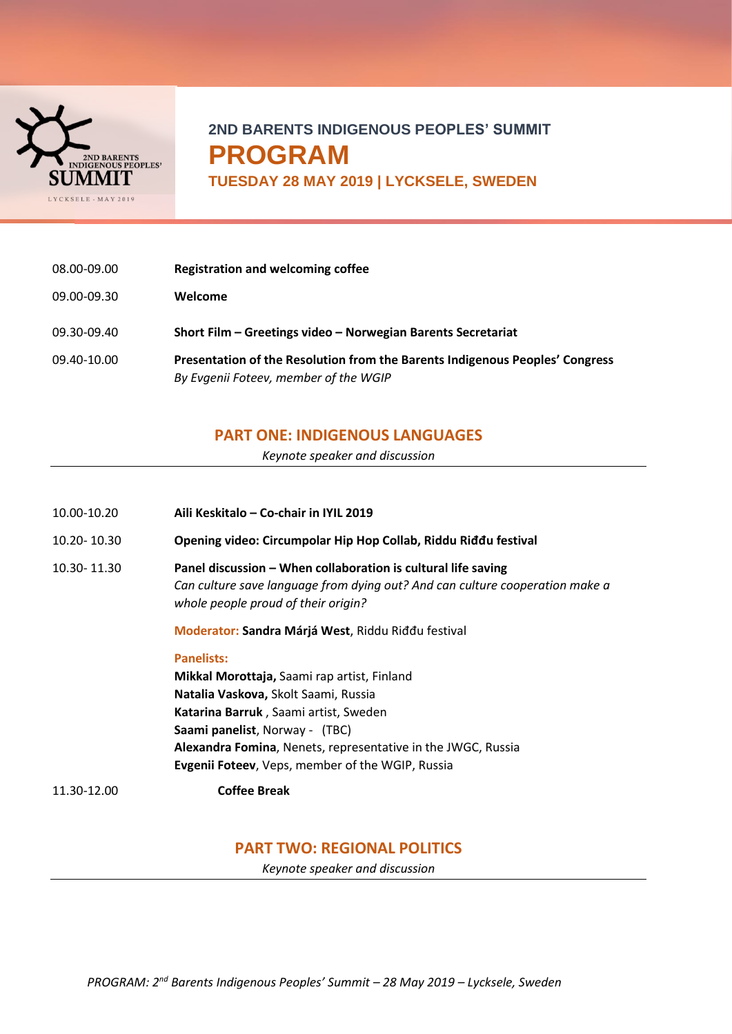

# **2ND BARENTS INDIGENOUS PEOPLES' SUMMIT PROGRAM**

**TUESDAY 28 MAY 2019 | LYCKSELE, SWEDEN**

| 08.00-09.00 | <b>Registration and welcoming coffee</b>                                                                              |
|-------------|-----------------------------------------------------------------------------------------------------------------------|
| 09.00-09.30 | Welcome                                                                                                               |
| 09.30-09.40 | Short Film - Greetings video - Norwegian Barents Secretariat                                                          |
| 09.40-10.00 | Presentation of the Resolution from the Barents Indigenous Peoples' Congress<br>By Evgenii Foteev, member of the WGIP |

## **PART ONE: INDIGENOUS LANGUAGES**

*Keynote speaker and discussion*

| 10.00-10.20 | Aili Keskitalo - Co-chair in IYIL 2019                                                                                                                                               |
|-------------|--------------------------------------------------------------------------------------------------------------------------------------------------------------------------------------|
| 10.20-10.30 | Opening video: Circumpolar Hip Hop Collab, Riddu Riđđu festival                                                                                                                      |
| 10.30-11.30 | Panel discussion – When collaboration is cultural life saving<br>Can culture save language from dying out? And can culture cooperation make a<br>whole people proud of their origin? |
|             | Moderator: Sandra Márjá West, Riddu Riddu festival                                                                                                                                   |
|             | <b>Panelists:</b>                                                                                                                                                                    |
|             | Mikkal Morottaja, Saami rap artist, Finland                                                                                                                                          |
|             | <b>Natalia Vaskova, Skolt Saami, Russia</b>                                                                                                                                          |
|             | Katarina Barruk, Saami artist, Sweden                                                                                                                                                |
|             | Saami panelist, Norway - (TBC)                                                                                                                                                       |
|             | Alexandra Fomina, Nenets, representative in the JWGC, Russia                                                                                                                         |
|             | <b>Evgenii Foteev, Veps, member of the WGIP, Russia</b>                                                                                                                              |
| 11.30-12.00 | <b>Coffee Break</b>                                                                                                                                                                  |

# **PART TWO: REGIONAL POLITICS**

*Keynote speaker and discussion*